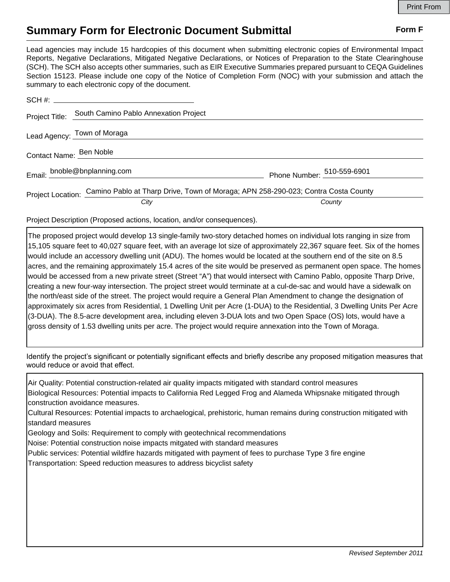## **Summary Form for Electronic Document Submittal Form F Form F**

Lead agencies may include 15 hardcopies of this document when submitting electronic copies of Environmental Impact Reports, Negative Declarations, Mitigated Negative Declarations, or Notices of Preparation to the State Clearinghouse (SCH). The SCH also accepts other summaries, such as EIR Executive Summaries prepared pursuant to CEQA Guidelines Section 15123. Please include one copy of the Notice of Completion Form (NOC) with your submission and attach the summary to each electronic copy of the document.

|                         | Project Title: South Camino Pablo Annexation Project                                                |                            |
|-------------------------|-----------------------------------------------------------------------------------------------------|----------------------------|
|                         | Lead Agency: Town of Moraga                                                                         |                            |
| Contact Name: Ben Noble |                                                                                                     |                            |
|                         | Email: bnoble@bnplanning.com                                                                        | Phone Number: 510-559-6901 |
|                         | Project Location: Camino Pablo at Tharp Drive, Town of Moraga; APN 258-290-023; Contra Costa County |                            |
|                         | City                                                                                                | County                     |

Project Description (Proposed actions, location, and/or consequences).

The proposed project would develop 13 single-family two-story detached homes on individual lots ranging in size from 15,105 square feet to 40,027 square feet, with an average lot size of approximately 22,367 square feet. Six of the homes would include an accessory dwelling unit (ADU). The homes would be located at the southern end of the site on 8.5 acres, and the remaining approximately 15.4 acres of the site would be preserved as permanent open space. The homes would be accessed from a new private street (Street "A") that would intersect with Camino Pablo, opposite Tharp Drive, creating a new four-way intersection. The project street would terminate at a cul-de-sac and would have a sidewalk on the north/east side of the street. The project would require a General Plan Amendment to change the designation of approximately six acres from Residential, 1 Dwelling Unit per Acre (1-DUA) to the Residential, 3 Dwelling Units Per Acre (3-DUA). The 8.5-acre development area, including eleven 3-DUA lots and two Open Space (OS) lots, would have a gross density of 1.53 dwelling units per acre. The project would require annexation into the Town of Moraga.

Identify the project's significant or potentially significant effects and briefly describe any proposed mitigation measures that would reduce or avoid that effect.

Air Quality: Potential construction-related air quality impacts mitigated with standard control measures Biological Resources: Potential impacts to California Red Legged Frog and Alameda Whipsnake mitigated through construction avoidance measures. Cultural Resources: Potential impacts to archaelogical, prehistoric, human remains during construction mitigated with standard measures Geology and Soils: Requirement to comply with geotechnical recommendations Noise: Potential construction noise impacts mitgated with standard measures Public services: Potential wildfire hazards mitigated with payment of fees to purchase Type 3 fire engine Transportation: Speed reduction measures to address bicyclist safety